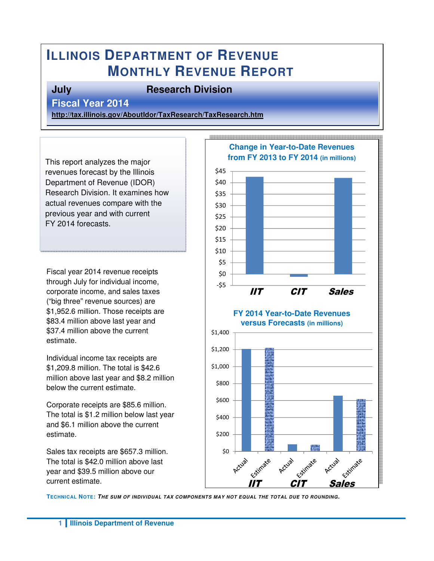# **ILLINOIS DEPARTMENT OF REVENUE MONTHLY REVENUE REPORT**

#### **July Research Division**

**Fiscal Year 2014** 

**http://tax.illinois.gov/AboutIdor/TaxResearch/TaxResearch.htm**

This report analyzes the major revenues forecast by the Illinois Department of Revenue (IDOR) Research Division. It examines how actual revenues compare with the previous year and with current FY 2014 forecasts.

Fiscal year 2014 revenue receipts through July for individual income, corporate income, and sales taxes ("big three" revenue sources) are \$1,952.6 million. Those receipts are \$83.4 million above last year and \$37.4 million above the current estimate.

Individual income tax receipts are \$1,209.8 million. The total is \$42.6 million above last year and \$8.2 million below the current estimate.

Corporate receipts are \$85.6 million. The total is \$1.2 million below last year and \$6.1 million above the current estimate.

Sales tax receipts are \$657.3 million. The total is \$42.0 million above last year and \$39.5 million above our current estimate.



**TECHNICAL NOTE: THE SUM OF INDIVIDUAL TAX COMPONENTS MAY NOT EQUAL THE TOTAL DUE TO ROUNDING.**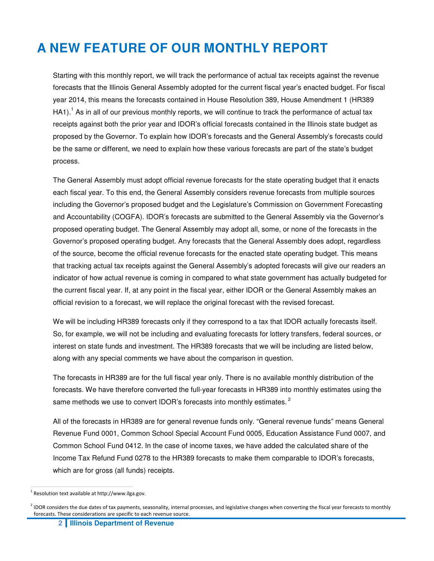# **A NEW FEATURE OF OUR MONTHLY REPORT**

Starting with this monthly report, we will track the performance of actual tax receipts against the revenue forecasts that the Illinois General Assembly adopted for the current fiscal year's enacted budget. For fiscal year 2014, this means the forecasts contained in House Resolution 389, House Amendment 1 (HR389 HA1).<sup>1</sup> As in all of our previous monthly reports, we will continue to track the performance of actual tax receipts against both the prior year and IDOR's official forecasts contained in the Illinois state budget as proposed by the Governor. To explain how IDOR's forecasts and the General Assembly's forecasts could be the same or different, we need to explain how these various forecasts are part of the state's budget process.

The General Assembly must adopt official revenue forecasts for the state operating budget that it enacts each fiscal year. To this end, the General Assembly considers revenue forecasts from multiple sources including the Governor's proposed budget and the Legislature's Commission on Government Forecasting and Accountability (COGFA). IDOR's forecasts are submitted to the General Assembly via the Governor's proposed operating budget. The General Assembly may adopt all, some, or none of the forecasts in the Governor's proposed operating budget. Any forecasts that the General Assembly does adopt, regardless of the source, become the official revenue forecasts for the enacted state operating budget. This means that tracking actual tax receipts against the General Assembly's adopted forecasts will give our readers an indicator of how actual revenue is coming in compared to what state government has actually budgeted for the current fiscal year. If, at any point in the fiscal year, either IDOR or the General Assembly makes an official revision to a forecast, we will replace the original forecast with the revised forecast.

We will be including HR389 forecasts only if they correspond to a tax that IDOR actually forecasts itself. So, for example, we will not be including and evaluating forecasts for lottery transfers, federal sources, or interest on state funds and investment. The HR389 forecasts that we will be including are listed below, along with any special comments we have about the comparison in question.

The forecasts in HR389 are for the full fiscal year only. There is no available monthly distribution of the forecasts. We have therefore converted the full-year forecasts in HR389 into monthly estimates using the same methods we use to convert IDOR's forecasts into monthly estimates.<sup>2</sup>

All of the forecasts in HR389 are for general revenue funds only. "General revenue funds" means General Revenue Fund 0001, Common School Special Account Fund 0005, Education Assistance Fund 0007, and Common School Fund 0412. In the case of income taxes, we have added the calculated share of the Income Tax Refund Fund 0278 to the HR389 forecasts to make them comparable to IDOR's forecasts, which are for gross (all funds) receipts.

 $\overline{a}$ 

 $1$  Resolution text available at http://www.ilga.gov.

<sup>&</sup>lt;sup>2</sup> IDOR considers the due dates of tax payments, seasonality, internal processes, and legislative changes when converting the fiscal year forecasts to monthly forecasts. These considerations are specific to each revenue source.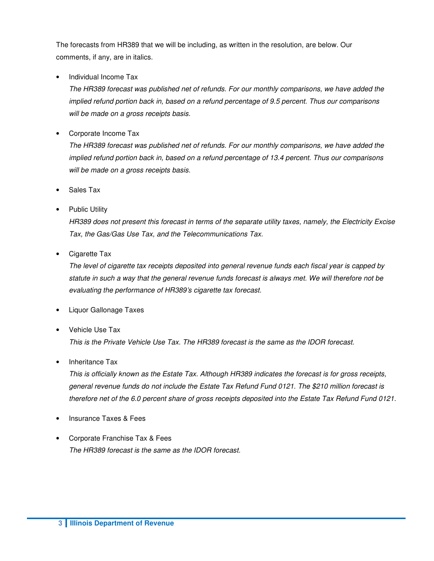The forecasts from HR389 that we will be including, as written in the resolution, are below. Our comments, if any, are in italics.

• Individual Income Tax

 The HR389 forecast was published net of refunds. For our monthly comparisons, we have added the implied refund portion back in, based on a refund percentage of 9.5 percent. Thus our comparisons will be made on a gross receipts basis.

• Corporate Income Tax

 The HR389 forecast was published net of refunds. For our monthly comparisons, we have added the implied refund portion back in, based on a refund percentage of 13.4 percent. Thus our comparisons will be made on a gross receipts basis.

- Sales Tax
- Public Utility

 HR389 does not present this forecast in terms of the separate utility taxes, namely, the Electricity Excise Tax, the Gas/Gas Use Tax, and the Telecommunications Tax.

• Cigarette Tax

 The level of cigarette tax receipts deposited into general revenue funds each fiscal year is capped by statute in such a way that the general revenue funds forecast is always met. We will therefore not be evaluating the performance of HR389's cigarette tax forecast.

- Liquor Gallonage Taxes
- Vehicle Use Tax

This is the Private Vehicle Use Tax. The HR389 forecast is the same as the IDOR forecast.

Inheritance Tax

 This is officially known as the Estate Tax. Although HR389 indicates the forecast is for gross receipts, general revenue funds do not include the Estate Tax Refund Fund 0121. The \$210 million forecast is therefore net of the 6.0 percent share of gross receipts deposited into the Estate Tax Refund Fund 0121.

- Insurance Taxes & Fees
- Corporate Franchise Tax & Fees The HR389 forecast is the same as the IDOR forecast.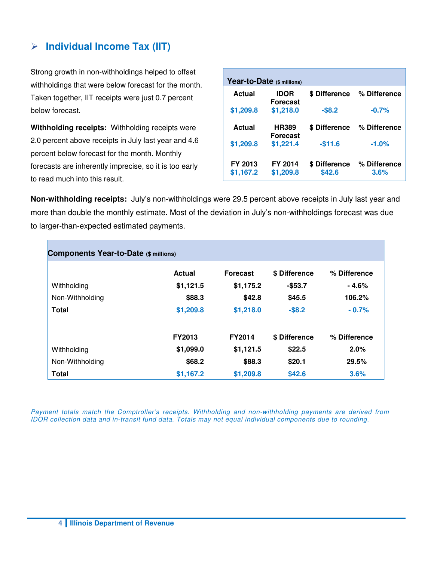## **Individual Income Tax (IIT)**

Strong growth in non-withholdings helped to offset withholdings that were below forecast for the month. Taken together, IIT receipts were just 0.7 percent below forecast.

**Withholding receipts:** Withholding receipts were 2.0 percent above receipts in July last year and 4.6 percent below forecast for the month. Monthly forecasts are inherently imprecise, so it is too early to read much into this result.

| Year-to-Date (\$ millions) |                                 |               |              |  |  |  |  |
|----------------------------|---------------------------------|---------------|--------------|--|--|--|--|
| Actual                     | <b>IDOR</b><br><b>Forecast</b>  | \$ Difference | % Difference |  |  |  |  |
| \$1,209.8                  | \$1,218.0                       | $-$ \$8.2     | $-0.7%$      |  |  |  |  |
| Actual                     | <b>HR389</b><br><b>Forecast</b> | \$ Difference | % Difference |  |  |  |  |
| \$1,209.8                  | \$1,221.4                       | $-$11.6$      | $-1.0%$      |  |  |  |  |
| FY 2013                    | <b>FY 2014</b>                  | \$ Difference | % Difference |  |  |  |  |
| \$1,167.2                  | \$1,209.8                       | \$42.6        | 3.6%         |  |  |  |  |

**Non-withholding receipts:** July's non-withholdings were 29.5 percent above receipts in July last year and more than double the monthly estimate. Most of the deviation in July's non-withholdings forecast was due to larger-than-expected estimated payments.

| <b>Components Year-to-Date (\$ millions)</b> |               |                 |               |              |  |  |  |
|----------------------------------------------|---------------|-----------------|---------------|--------------|--|--|--|
|                                              | Actual        | <b>Forecast</b> | \$ Difference | % Difference |  |  |  |
| Withholding                                  | \$1,121.5     | \$1,175.2       | $-$53.7$      | - 4.6%       |  |  |  |
| Non-Withholding                              | \$88.3        | \$42.8          | \$45.5        | 106.2%       |  |  |  |
| <b>Total</b>                                 | \$1,209.8     | \$1,218.0       | $-$ \$8.2     | $-0.7%$      |  |  |  |
|                                              | <b>FY2013</b> | <b>FY2014</b>   | \$ Difference | % Difference |  |  |  |
| Withholding                                  | \$1,099.0     | \$1,121.5       | \$22.5        | 2.0%         |  |  |  |
| Non-Withholding                              | \$68.2        | \$88.3          | \$20.1        | 29.5%        |  |  |  |
| <b>Total</b>                                 | \$1,167.2     | \$1,209.8       | \$42.6        | 3.6%         |  |  |  |

Payment totals match the Comptroller's receipts. Withholding and non-withholding payments are derived from IDOR collection data and in-transit fund data. Totals may not equal individual components due to rounding.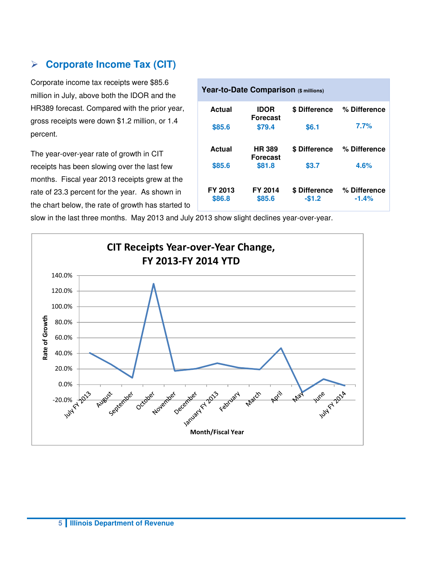#### **Corporate Income Tax (CIT)**

Corporate income tax receipts were \$85.6 million in July, above both the IDOR and the HR389 forecast. Compared with the prior year, gross receipts were down \$1.2 million, or 1.4 percent.

The year-over-year rate of growth in CIT receipts has been slowing over the last few months. Fiscal year 2013 receipts grew at the rate of 23.3 percent for the year. As shown in the chart below, the rate of growth has started to

| Year-to-Date Comparison (\$ millions) |                                 |                          |                         |  |  |  |  |  |
|---------------------------------------|---------------------------------|--------------------------|-------------------------|--|--|--|--|--|
| Actual                                | <b>IDOR</b><br><b>Forecast</b>  | \$ Difference            | % Difference            |  |  |  |  |  |
| \$85.6                                | \$79.4                          | \$6.1                    | 7.7%                    |  |  |  |  |  |
| Actual                                | <b>HR389</b><br><b>Forecast</b> | \$ Difference            | % Difference            |  |  |  |  |  |
| \$85.6                                | \$81.8                          | \$3.7                    | 4.6%                    |  |  |  |  |  |
| FY 2013<br>\$86.8                     | FY 2014<br>\$85.6               | \$ Difference<br>$-$1.2$ | % Difference<br>$-1.4%$ |  |  |  |  |  |

slow in the last three months. May 2013 and July 2013 show slight declines year-over-year.

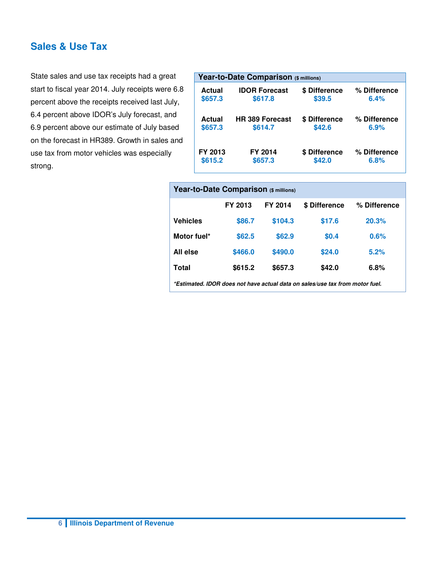#### **Sales & Use Tax**

State sales and use tax receipts had a great start to fiscal year 2014. July receipts were 6.8 percent above the receipts received last July, 6.4 percent above IDOR's July forecast, and 6.9 percent above our estimate of July based on the forecast in HR389. Growth in sales and use tax from motor vehicles was especially strong.

|         | Year-to-Date Comparison (\$ millions) |               |              |  |  |  |  |
|---------|---------------------------------------|---------------|--------------|--|--|--|--|
| Actual  | <b>IDOR Forecast</b>                  | \$ Difference | % Difference |  |  |  |  |
| \$657.3 | \$617.8                               | \$39.5        | 6.4%         |  |  |  |  |
| Actual  | <b>HR 389 Forecast</b>                | \$ Difference | % Difference |  |  |  |  |
| \$657.3 | \$614.7                               | \$42.6        | 6.9%         |  |  |  |  |
| FY 2013 | FY 2014                               | \$ Difference | % Difference |  |  |  |  |
| \$615.2 | \$657.3                               | \$42.0        | 6.8%         |  |  |  |  |

| Year-to-Date Comparison (\$ millions)                                        |         |         |               |              |  |  |  |  |
|------------------------------------------------------------------------------|---------|---------|---------------|--------------|--|--|--|--|
|                                                                              | FY 2013 | FY 2014 | \$ Difference | % Difference |  |  |  |  |
| <b>Vehicles</b>                                                              | \$86.7  | \$104.3 | \$17.6        | 20.3%        |  |  |  |  |
| Motor fuel*                                                                  | \$62.5  | \$62.9  | \$0.4         | 0.6%         |  |  |  |  |
| All else                                                                     | \$466.0 | \$490.0 | \$24.0        | 5.2%         |  |  |  |  |
| Total                                                                        | \$615.2 | \$657.3 | \$42.0        | 6.8%         |  |  |  |  |
| *Estimated. IDOR does not have actual data on sales/use tax from motor fuel. |         |         |               |              |  |  |  |  |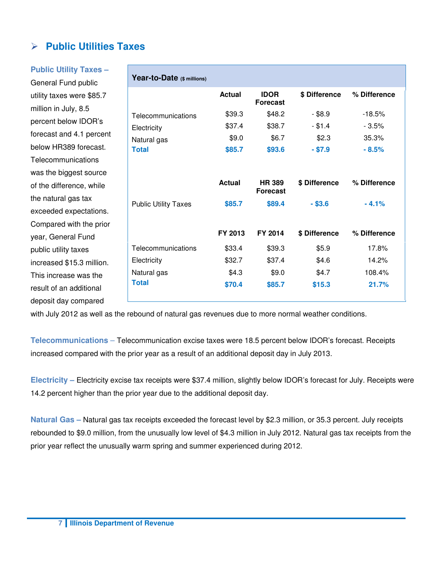## **Public Utilities Taxes**

#### **Public Utility Taxes –**

General Fund public utility taxes were \$85.7 million in July, 8.5 percent below IDOR's forecast and 4.1 percent below HR389 forecast. **Telecommunications** was the biggest source of the difference, while the natural gas tax exceeded expectations. Compared with the prior year, General Fund public utility taxes increased \$15.3 million. This increase was the result of an additional deposit day compared

|                             | <b>Actual</b> | <b>IDOR</b><br><b>Forecast</b>   | \$ Difference | % Difference |
|-----------------------------|---------------|----------------------------------|---------------|--------------|
| Telecommunications          | \$39.3        | \$48.2                           | $-$ \$8.9     | $-18.5%$     |
| Electricity                 | \$37.4        | \$38.7                           | $-$ \$1.4     | - 3.5%       |
| Natural gas                 | \$9.0         | \$6.7                            | \$2.3         | 35.3%        |
| <b>Total</b>                | \$85.7        | \$93.6                           | $- $7.9$      | $-8.5%$      |
|                             | <b>Actual</b> | <b>HR 389</b><br><b>Forecast</b> | \$ Difference | % Difference |
| <b>Public Utility Taxes</b> | \$85.7        | \$89.4                           | $-$ \$3.6     | $-4.1%$      |
|                             | FY 2013       | FY 2014                          | \$ Difference | % Difference |
| Telecommunications          | \$33.4        | \$39.3                           | \$5.9         | 17.8%        |
| Electricity                 | \$32.7        | \$37.4                           | \$4.6         | 14.2%        |
| Natural gas                 | \$4.3         | \$9.0                            | \$4.7         | 108.4%       |
| <b>Total</b>                | \$70.4        | \$85.7                           | \$15.3        | 21.7%        |

with July 2012 as well as the rebound of natural gas revenues due to more normal weather conditions.

**Telecommunications** – Telecommunication excise taxes were 18.5 percent below IDOR's forecast. Receipts increased compared with the prior year as a result of an additional deposit day in July 2013.

**Electricity –** Electricity excise tax receipts were \$37.4 million, slightly below IDOR's forecast for July. Receipts were 14.2 percent higher than the prior year due to the additional deposit day.

**Natural Gas –** Natural gas tax receipts exceeded the forecast level by \$2.3 million, or 35.3 percent. July receipts rebounded to \$9.0 million, from the unusually low level of \$4.3 million in July 2012. Natural gas tax receipts from the prior year reflect the unusually warm spring and summer experienced during 2012.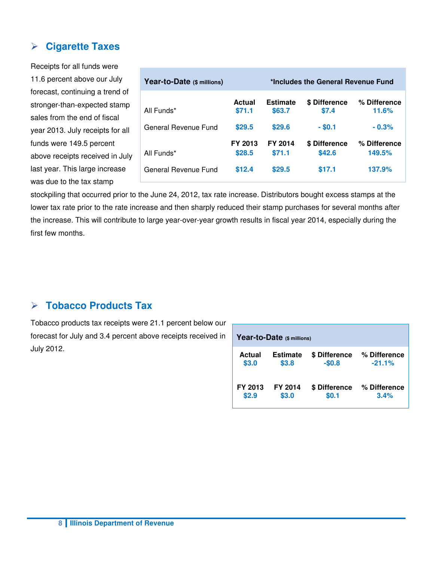## **Cigarette Taxes**

Receipts for all funds were 11.6 percent above our July forecast, continuing a trend of stronger-than-expected stamp sales from the end of fiscal year 2013. July receipts for all funds were 149.5 percent above receipts received in July last year. This large increase was due to the tax stamp

| Year-to-Date (\$ millions) | *Includes the General Revenue Fund |                           |                         |                        |  |  |
|----------------------------|------------------------------------|---------------------------|-------------------------|------------------------|--|--|
| All Funds*                 | <b>Actual</b><br>\$71.1            | <b>Estimate</b><br>\$63.7 | \$ Difference<br>\$7.4  | % Difference<br>11.6%  |  |  |
| General Revenue Fund       | \$29.5                             | \$29.6                    | $-$ \$0.1               | $-0.3%$                |  |  |
| All Funds*                 | FY 2013<br>\$28.5                  | FY 2014<br>\$71.1         | \$ Difference<br>\$42.6 | % Difference<br>149.5% |  |  |
| General Revenue Fund       | \$12.4                             | \$29.5                    | \$17.1                  | 137.9%                 |  |  |

stockpiling that occurred prior to the June 24, 2012, tax rate increase. Distributors bought excess stamps at the lower tax rate prior to the rate increase and then sharply reduced their stamp purchases for several months after the increase. This will contribute to large year-over-year growth results in fiscal year 2014, especially during the first few months.

#### **Tobacco Products Tax**

Tobacco products tax receipts were 21.1 percent below our forecast for July and 3.4 percent above receipts received in July 2012.

| Year-to-Date (\$ millions) |                 |               |              |  |  |  |  |
|----------------------------|-----------------|---------------|--------------|--|--|--|--|
| Actual                     | <b>Estimate</b> | \$ Difference | % Difference |  |  |  |  |
| \$3.0                      | \$3.8           | $-$0.8$       | $-21.1%$     |  |  |  |  |
| FY 2013                    | <b>FY 2014</b>  | \$ Difference | % Difference |  |  |  |  |
| \$2.9                      | \$3.0           | \$0.1         | 3.4%         |  |  |  |  |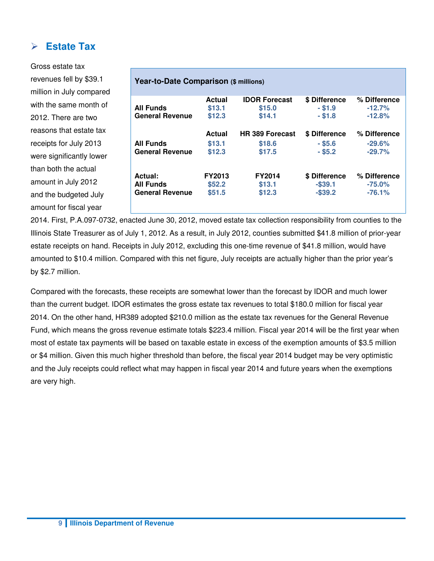#### **Estate Tax**

Gross estate tax revenues fell by \$39.1 million in July compared with the same month of 2012. There are two reasons that estate tax receipts for July 2013 were significantly lower than both the actual amount in July 2012 and the budgeted July amount for fiscal year

| <b>All Funds</b>       | Actual<br>\$13.1 | <b>IDOR Forecast</b><br>\$15.0 | \$ Difference<br>$-$ \$1.9 | % Difference<br>$-12.7%$ |
|------------------------|------------------|--------------------------------|----------------------------|--------------------------|
| <b>General Revenue</b> | \$12.3           | \$14.1                         | $-$ \$1.8                  | $-12.8%$                 |
|                        | Actual           | <b>HR 389 Forecast</b>         | \$ Difference              | % Difference             |
| <b>All Funds</b>       | \$13.1           | \$18.6                         | $-$ \$5.6                  | $-29.6\%$                |
| <b>General Revenue</b> | \$12.3           | \$17.5                         | $-$ \$5.2                  | $-29.7\%$                |
| Actual:                | <b>FY2013</b>    | <b>FY2014</b>                  | \$ Difference              | % Difference             |
| <b>All Funds</b>       | \$52.2           | \$13.1                         | $-$ \$39.1                 | $-75.0\%$                |
| <b>General Revenue</b> | \$51.5           | \$12.3                         | $-$ \$39.2                 | $-76.1%$                 |

2014. First, P.A.097-0732, enacted June 30, 2012, moved estate tax collection responsibility from counties to the Illinois State Treasurer as of July 1, 2012. As a result, in July 2012, counties submitted \$41.8 million of prior-year estate receipts on hand. Receipts in July 2012, excluding this one-time revenue of \$41.8 million, would have amounted to \$10.4 million. Compared with this net figure, July receipts are actually higher than the prior year's by \$2.7 million.

Compared with the forecasts, these receipts are somewhat lower than the forecast by IDOR and much lower than the current budget. IDOR estimates the gross estate tax revenues to total \$180.0 million for fiscal year 2014. On the other hand, HR389 adopted \$210.0 million as the estate tax revenues for the General Revenue Fund, which means the gross revenue estimate totals \$223.4 million. Fiscal year 2014 will be the first year when most of estate tax payments will be based on taxable estate in excess of the exemption amounts of \$3.5 million or \$4 million. Given this much higher threshold than before, the fiscal year 2014 budget may be very optimistic and the July receipts could reflect what may happen in fiscal year 2014 and future years when the exemptions are very high.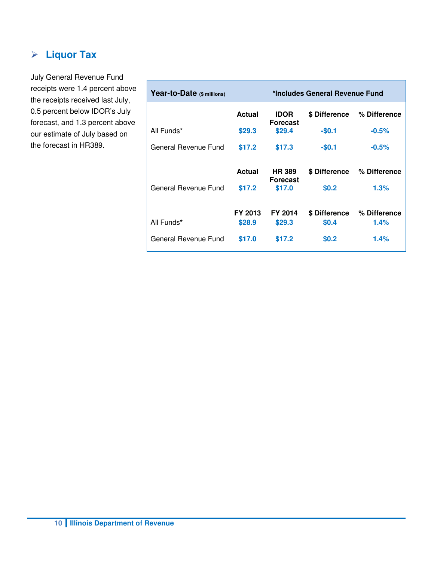## **Liquor Tax**

July General Revenue Fund receipts were 1.4 percent above the receipts received last July, 0.5 percent below IDOR's July forecast, and 1.3 percent above our estimate of July based on the forecast in HR389.

| Year-to-Date (\$ millions) | *Includes General Revenue Fund |                                  |               |              |  |  |  |
|----------------------------|--------------------------------|----------------------------------|---------------|--------------|--|--|--|
|                            | Actual                         | <b>IDOR</b><br><b>Forecast</b>   | \$ Difference | % Difference |  |  |  |
| All Funds*                 | \$29.3                         | \$29.4                           | $-$0.1$       | $-0.5%$      |  |  |  |
| General Revenue Fund       | \$17.2                         | \$17.3                           | $-$0.1$       | $-0.5%$      |  |  |  |
|                            | Actual                         | <b>HR 389</b><br><b>Forecast</b> | \$ Difference | % Difference |  |  |  |
| General Revenue Fund       | \$17.2                         | \$17.0                           | \$0.2\$       | 1.3%         |  |  |  |
|                            | FY 2013                        | FY 2014                          | \$ Difference | % Difference |  |  |  |
| All Funds*                 | \$28.9                         | \$29.3                           | <b>\$0.4</b>  | 1.4%         |  |  |  |
| General Revenue Fund       | \$17.0                         | \$17.2                           | \$0.2         | 1.4%         |  |  |  |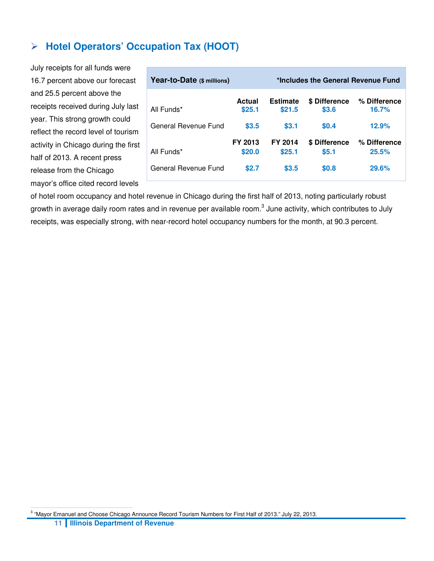## **Hotel Operators' Occupation Tax (HOOT)**

July receipts for all funds were 16.7 percent above our forecast and 25.5 percent above the receipts received during July last year. This strong growth could reflect the record level of tourism activity in Chicago during the first half of 2013. A recent press release from the Chicago mayor's office cited record levels

| Year-to-Date (\$ millions)         | *Includes the General Revenue Fund |                            |                                        |                                |
|------------------------------------|------------------------------------|----------------------------|----------------------------------------|--------------------------------|
| All Funds*                         | Actual<br>\$25.1                   | <b>Estimate</b><br>\$21.5  | <b>S</b> Difference<br>\$3.6           | % Difference<br>16.7%          |
| General Revenue Fund               | \$3.5                              | \$3.1                      | \$0.4                                  | 12.9%                          |
| All Funds*<br>General Revenue Fund | FY 2013<br>\$20.0<br><b>\$2.7</b>  | FY 2014<br>\$25.1<br>\$3.5 | \$ Difference<br>\$5.1<br><b>\$0.8</b> | % Difference<br>25.5%<br>29.6% |

of hotel room occupancy and hotel revenue in Chicago during the first half of 2013, noting particularly robust growth in average daily room rates and in revenue per available room.<sup>3</sup> June activity, which contributes to July receipts, was especially strong, with near-record hotel occupancy numbers for the month, at 90.3 percent.

**<sup>11</sup> Illinois Department of Revenue**  <sup>3</sup> "Mayor Emanuel and Choose Chicago Announce Record Tourism Numbers for First Half of 2013." July 22, 2013.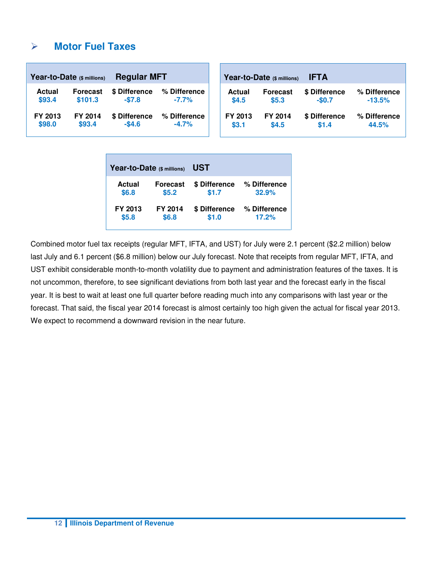#### **Motor Fuel Taxes**

| <b>Regular MFT</b><br>Year-to-Date (\$ millions) |                 |               |              | Year-to-Date (\$ millions) | <b>IFTA</b>     |               |              |
|--------------------------------------------------|-----------------|---------------|--------------|----------------------------|-----------------|---------------|--------------|
| <b>Actual</b>                                    | <b>Forecast</b> | \$ Difference | % Difference | Actual                     | <b>Forecast</b> | \$ Difference | % Difference |
| \$93.4                                           | \$101.3         | $-$7.8$       | $-7.7%$      | \$4.5                      | \$5.3           | $-$0.7$       | $-13.5%$     |
| FY 2013                                          | FY 2014         | \$ Difference | % Difference | FY 2013                    | FY 2014         | \$ Difference | % Difference |
| \$98.0                                           | \$93.4          | $-$ \$4.6     | $-4.7%$      | \$3.1                      | \$4.5           | \$1.4         | 44.5%        |

| Year-to-Date (\$ millions) |                 | <b>UST</b>    |              |  |  |  |  |  |
|----------------------------|-----------------|---------------|--------------|--|--|--|--|--|
| Actual                     | <b>Forecast</b> | \$ Difference | % Difference |  |  |  |  |  |
| \$6.8                      | \$5.2           | \$1.7         | 32.9%        |  |  |  |  |  |
| FY 2013                    | <b>FY 2014</b>  | \$ Difference | % Difference |  |  |  |  |  |
| \$5.8                      | \$6.8           | \$1.0         | 17.2%        |  |  |  |  |  |

Combined motor fuel tax receipts (regular MFT, IFTA, and UST) for July were 2.1 percent (\$2.2 million) below last July and 6.1 percent (\$6.8 million) below our July forecast. Note that receipts from regular MFT, IFTA, and UST exhibit considerable month-to-month volatility due to payment and administration features of the taxes. It is not uncommon, therefore, to see significant deviations from both last year and the forecast early in the fiscal year. It is best to wait at least one full quarter before reading much into any comparisons with last year or the forecast. That said, the fiscal year 2014 forecast is almost certainly too high given the actual for fiscal year 2013. We expect to recommend a downward revision in the near future.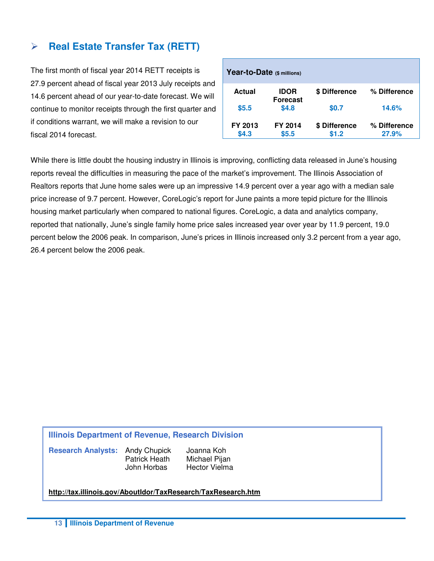#### **Real Estate Transfer Tax (RETT)**

The first month of fiscal year 2014 RETT receipts is 27.9 percent ahead of fiscal year 2013 July receipts and 14.6 percent ahead of our year-to-date forecast. We will continue to monitor receipts through the first quarter and if conditions warrant, we will make a revision to our fiscal 2014 forecast.

| Year-to-Date (\$ millions) |                                |                        |                       |  |  |  |  |  |  |  |
|----------------------------|--------------------------------|------------------------|-----------------------|--|--|--|--|--|--|--|
| <b>Actual</b>              | <b>IDOR</b><br><b>Forecast</b> | \$ Difference          | % Difference          |  |  |  |  |  |  |  |
| \$5.5                      | \$4.8                          | \$0.7                  | 14.6%                 |  |  |  |  |  |  |  |
| FY 2013<br>\$4.3           | FY 2014<br>\$5.5               | \$ Difference<br>\$1.2 | % Difference<br>27.9% |  |  |  |  |  |  |  |

While there is little doubt the housing industry in Illinois is improving, conflicting data released in June's housing reports reveal the difficulties in measuring the pace of the market's improvement. The Illinois Association of Realtors reports that June home sales were up an impressive 14.9 percent over a year ago with a median sale price increase of 9.7 percent. However, CoreLogic's report for June paints a more tepid picture for the Illinois housing market particularly when compared to national figures. CoreLogic, a data and analytics company, reported that nationally, June's single family home price sales increased year over year by 11.9 percent, 19.0 percent below the 2006 peak. In comparison, June's prices in Illinois increased only 3.2 percent from a year ago, 26.4 percent below the 2006 peak.

#### **Illinois Department of Revenue, Research Division**

**Research Analysts:** Andy Chupick Joanna Koh

Patrick Heath Michael Pijan John Horbas Hector Vielma

**http://tax.illinois.gov/AboutIdor/TaxResearch/TaxResearch.htm**